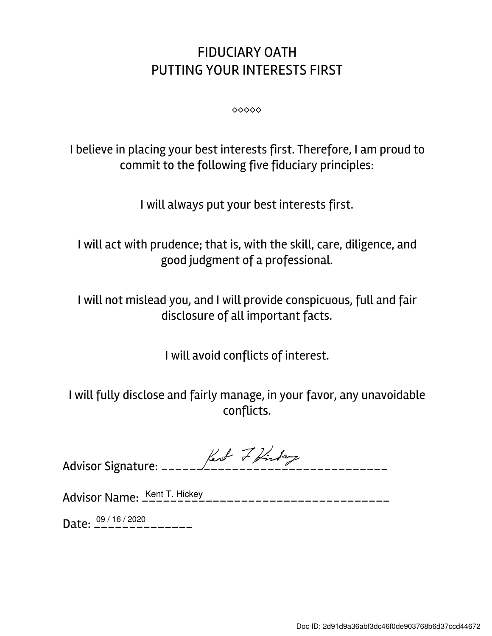## FIDUCIARY OATH PUTTING YOUR INTERESTS FIRST

 $\diamond \diamond \diamond \diamond \diamond \diamond$ 

I believe in placing your best interests first. Therefore, I am proud to commit to the following five fiduciary principles:

I will always put your best interests first.

I will act with prudence; that is, with the skill, care, diligence, and good judgment of a professional.

I will not mislead you, and I will provide conspicuous, full and fair disclosure of all important facts.

I will avoid conflicts of interest.

I will fully disclose and fairly manage, in your favor, any unavoidable conflicts.

|  | $\sqrt{11}$ |  |
|--|-------------|--|
|  |             |  |

Advisor Name: \_\_\_\_\_\_\_\_\_\_\_\_\_\_\_\_\_\_\_\_\_\_\_\_\_\_\_\_\_\_\_\_\_\_\_ Kent T. Hickey

Date:  $\frac{09/16/2020}{---------}$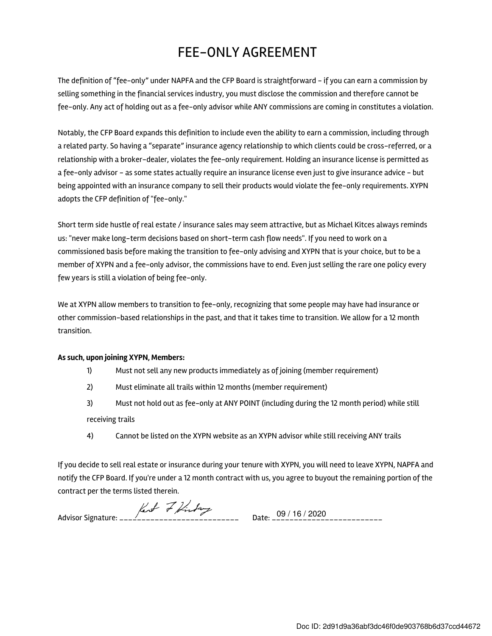## FEE-ONLY AGREEMENT

The definition of "fee-only" under NAPFA and the CFP Board is straightforward - if you can earn a commission by selling something in the financial services industry, you must disclose the commission and therefore cannot be fee-only. Any act of holding out as a fee-only advisor while ANY commissions are coming in constitutes a violation.

Notably, the CFP Board expands this definition to include even the ability to earn a commission, including through a related party. So having a "separate" insurance agency relationship to which clients could be cross-referred, or a relationship with a broker-dealer, violates the fee-only requirement. Holding an insurance license is permitted as a fee-only advisor - as some states actually require an insurance license even just to give insurance advice - but being appointed with an insurance company to sell their products would violate the fee-only requirements. XYPN adopts the CFP definition of "fee-only."

Short term side hustle of real estate / insurance sales may seem attractive, but as Michael Kitces always reminds us: "never make long-term decisions based on short-term cash flow needs". If you need to work on a commissioned basis before making the transition to fee-only advising and XYPN that is your choice, but to be a member of XYPN and a fee-only advisor, the commissions have to end. Even just selling the rare one policy every few years is still a violation of being fee-only.

We at XYPN allow members to transition to fee-only, recognizing that some people may have had insurance or other commission-based relationships in the past, and that it takes time to transition. We allow for a 12 month transition.

## As such, upon joining XYPN, Members:

- 1) Must not sell any new products immediately as of joining (member requirement)
- 2) Must eliminate all trails within 12 months (member requirement)
- 3) Must not hold out as fee-only at ANY POINT (including during the 12 month period) while still receiving trails
- 4) Cannot be listed on the XYPN website as an XYPN advisor while still receiving ANY trails

If you decide to sell real estate or insurance during your tenure with XYPN, you will need to leave XYPN, NAPFA and notify the CFP Board. If you're under a 12 month contract with us, you agree to buyout the remaining portion of the contract per the terms listed therein.

Advisor Signature: \_\_\_\_\_\_\_\_\_\_\_\_\_\_\_\_\_\_\_\_\_\_\_\_\_\_\_ Date: \_\_\_\_\_\_\_\_\_\_\_\_\_\_\_\_\_\_\_\_\_\_\_\_\_ 09 / 16 / 2020